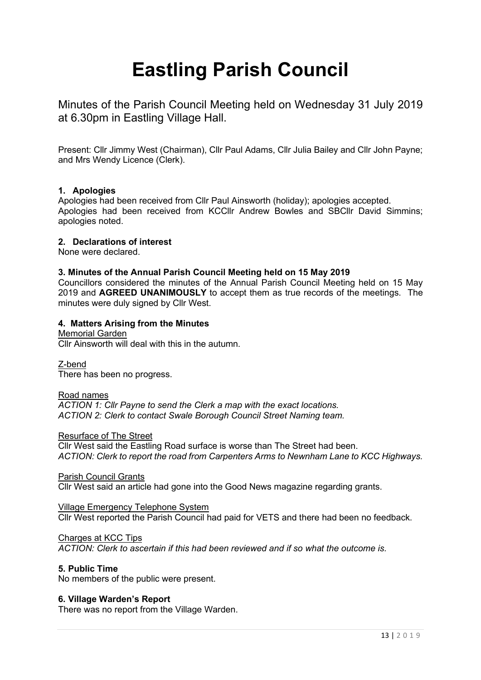# **Eastling Parish Council**

Minutes of the Parish Council Meeting held on Wednesday 31 July 2019 at 6.30pm in Eastling Village Hall.

Present: Cllr Jimmy West (Chairman), Cllr Paul Adams, Cllr Julia Bailey and Cllr John Payne; and Mrs Wendy Licence (Clerk).

# **1. Apologies**

Apologies had been received from Cllr Paul Ainsworth (holiday); apologies accepted. Apologies had been received from KCCllr Andrew Bowles and SBCllr David Simmins; apologies noted.

## **2. Declarations of interest**

None were declared.

## **3. Minutes of the Annual Parish Council Meeting held on 15 May 2019**

Councillors considered the minutes of the Annual Parish Council Meeting held on 15 May 2019 and **AGREED UNANIMOUSLY** to accept them as true records of the meetings. The minutes were duly signed by Cllr West.

## **4. Matters Arising from the Minutes**

Memorial Garden Cllr Ainsworth will deal with this in the autumn.

Z-bend There has been no progress.

# Road names

*ACTION 1: Cllr Payne to send the Clerk a map with the exact locations. ACTION 2: Clerk to contact Swale Borough Council Street Naming team.*

#### Resurface of The Street

Cllr West said the Eastling Road surface is worse than The Street had been. *ACTION: Clerk to report the road from Carpenters Arms to Newnham Lane to KCC Highways.*

## Parish Council Grants

Cllr West said an article had gone into the Good News magazine regarding grants.

#### Village Emergency Telephone System Cllr West reported the Parish Council had paid for VETS and there had been no feedback.

#### Charges at KCC Tips

*ACTION: Clerk to ascertain if this had been reviewed and if so what the outcome is.*

#### **5. Public Time**

No members of the public were present.

#### **6. Village Warden's Report**

There was no report from the Village Warden.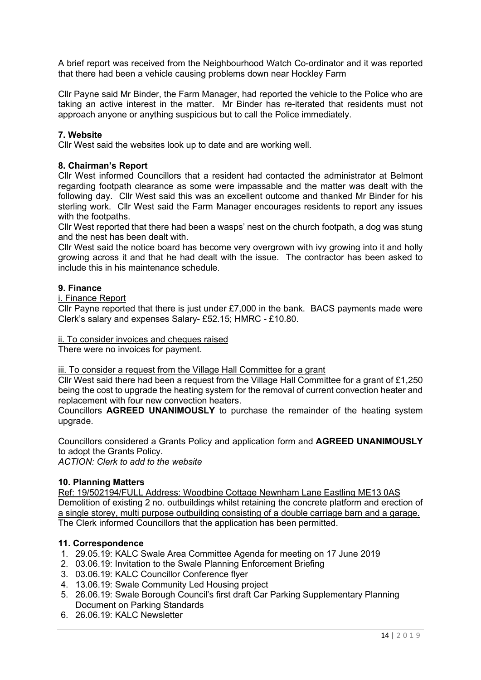A brief report was received from the Neighbourhood Watch Co-ordinator and it was reported that there had been a vehicle causing problems down near Hockley Farm

Cllr Payne said Mr Binder, the Farm Manager, had reported the vehicle to the Police who are taking an active interest in the matter. Mr Binder has re-iterated that residents must not approach anyone or anything suspicious but to call the Police immediately.

# **7. Website**

Cllr West said the websites look up to date and are working well.

## **8. Chairman's Report**

Cllr West informed Councillors that a resident had contacted the administrator at Belmont regarding footpath clearance as some were impassable and the matter was dealt with the following day. Cllr West said this was an excellent outcome and thanked Mr Binder for his sterling work. Cllr West said the Farm Manager encourages residents to report any issues with the footpaths.

Cllr West reported that there had been a wasps' nest on the church footpath, a dog was stung and the nest has been dealt with.

Cllr West said the notice board has become very overgrown with ivy growing into it and holly growing across it and that he had dealt with the issue. The contractor has been asked to include this in his maintenance schedule.

## **9. Finance**

#### i. Finance Report

Cllr Payne reported that there is just under £7,000 in the bank. BACS payments made were Clerk's salary and expenses Salary- £52.15; HMRC - £10.80.

ii. To consider invoices and cheques raised

There were no invoices for payment.

#### iii. To consider a request from the Village Hall Committee for a grant

Cllr West said there had been a request from the Village Hall Committee for a grant of £1,250 being the cost to upgrade the heating system for the removal of current convection heater and replacement with four new convection heaters.

Councillors **AGREED UNANIMOUSLY** to purchase the remainder of the heating system upgrade.

Councillors considered a Grants Policy and application form and **AGREED UNANIMOUSLY**  to adopt the Grants Policy.

*ACTION: Clerk to add to the website*

#### **10. Planning Matters**

Ref: 19/502194/FULL Address: Woodbine Cottage Newnham Lane Eastling ME13 0AS Demolition of existing 2 no. outbuildings whilst retaining the concrete platform and erection of a single storey, multi purpose outbuilding consisting of a double carriage barn and a garage. The Clerk informed Councillors that the application has been permitted.

# **11. Correspondence**

- 1. 29.05.19: KALC Swale Area Committee Agenda for meeting on 17 June 2019
- 2. 03.06.19: Invitation to the Swale Planning Enforcement Briefing
- 3. 03.06.19: KALC Councillor Conference flyer
- 4. 13.06.19: Swale Community Led Housing project
- 5. 26.06.19: Swale Borough Council's first draft Car Parking Supplementary Planning Document on Parking Standards
- 6. 26.06.19: KALC Newsletter